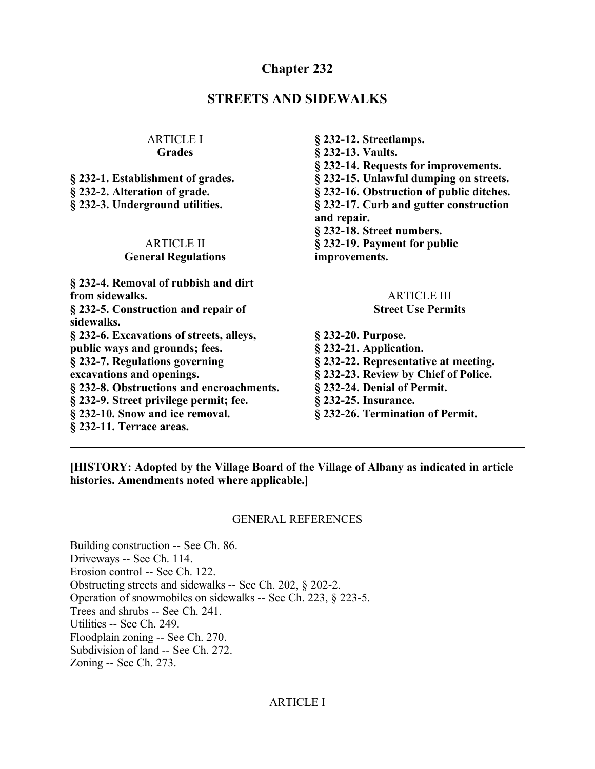## **Chapter 232**

## **STREETS AND SIDEWALKS**

#### ARTICLE I **Grades**

**§ 232-1. Establishment of grades. § 232-2. Alteration of grade. § 232-3. Underground utilities.**

#### ARTICLE II **General Regulations**

**§ 232-4. Removal of rubbish and dirt from sidewalks. § 232-5. Construction and repair of sidewalks. § 232-6. Excavations of streets, alleys, public ways and grounds; fees. § 232-7. Regulations governing excavations and openings. § 232-8. Obstructions and encroachments. § 232-9. Street privilege permit; fee. § 232-10. Snow and ice removal. § 232-11. Terrace areas.**

**§ 232-12. Streetlamps. § 232-13. Vaults. § 232-14. Requests for improvements. § 232-15. Unlawful dumping on streets. § 232-16. Obstruction of public ditches. § 232-17. Curb and gutter construction and repair. § 232-18. Street numbers. § 232-19. Payment for public improvements.**

#### ARTICLE III **Street Use Permits**

**§ 232-20. Purpose. § 232-21. Application. § 232-22. Representative at meeting. § 232-23. Review by Chief of Police. § 232-24. Denial of Permit. § 232-25. Insurance. § 232-26. Termination of Permit.**

**[HISTORY: Adopted by the Village Board of the Village of Albany as indicated in article histories. Amendments noted where applicable.]**

#### GENERAL REFERENCES

Building construction -- See Ch. 86. Driveways -- See Ch. 114. Erosion control -- See Ch. 122. Obstructing streets and sidewalks -- See Ch. 202, § 202-2. Operation of snowmobiles on sidewalks -- See Ch. 223, § 223-5. Trees and shrubs -- See Ch. 241. Utilities -- See Ch. 249. Floodplain zoning -- See Ch. 270. Subdivision of land -- See Ch. 272. Zoning -- See Ch. 273.

#### ARTICLE I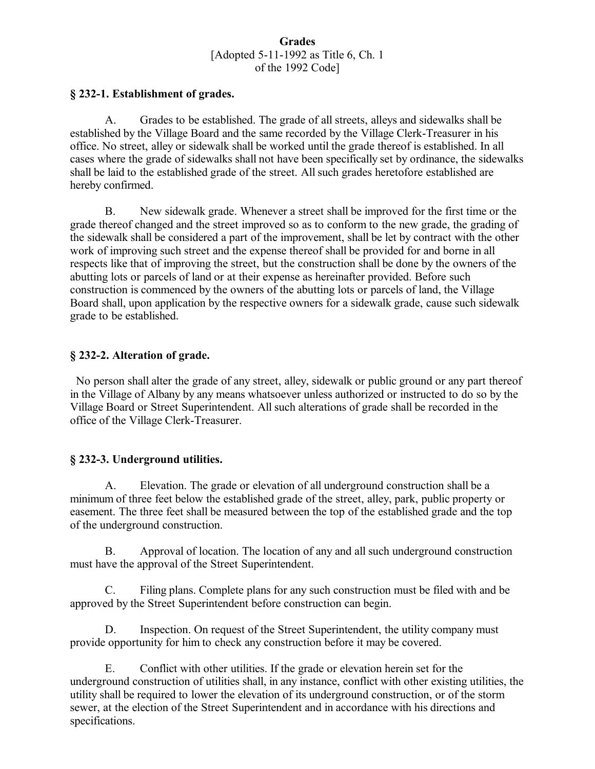#### **Grades** [Adopted 5-11-1992 as Title 6, Ch. 1 of the 1992 Code]

#### **§ 232-1. Establishment of grades.**

A. Grades to be established. The grade of all streets, alleys and sidewalks shall be established by the Village Board and the same recorded by the Village Clerk-Treasurer in his office. No street, alley or sidewalk shall be worked until the grade thereof is established. In all cases where the grade of sidewalks shall not have been specifically set by ordinance, the sidewalks shall be laid to the established grade of the street. All such grades heretofore established are hereby confirmed.

B. New sidewalk grade. Whenever a street shall be improved for the first time or the grade thereof changed and the street improved so as to conform to the new grade, the grading of the sidewalk shall be considered a part of the improvement, shall be let by contract with the other work of improving such street and the expense thereof shall be provided for and borne in all respects like that of improving the street, but the construction shall be done by the owners of the abutting lots or parcels of land or at their expense as hereinafter provided. Before such construction is commenced by the owners of the abutting lots or parcels of land, the Village Board shall, upon application by the respective owners for a sidewalk grade, cause such sidewalk grade to be established.

#### **§ 232-2. Alteration of grade.**

 No person shall alter the grade of any street, alley, sidewalk or public ground or any part thereof in the Village of Albany by any means whatsoever unless authorized or instructed to do so by the Village Board or Street Superintendent. All such alterations of grade shall be recorded in the office of the Village Clerk-Treasurer.

#### **§ 232-3. Underground utilities.**

A. Elevation. The grade or elevation of all underground construction shall be a minimum of three feet below the established grade of the street, alley, park, public property or easement. The three feet shall be measured between the top of the established grade and the top of the underground construction.

B. Approval of location. The location of any and all such underground construction must have the approval of the Street Superintendent.

C. Filing plans. Complete plans for any such construction must be filed with and be approved by the Street Superintendent before construction can begin.

D. Inspection. On request of the Street Superintendent, the utility company must provide opportunity for him to check any construction before it may be covered.

E. Conflict with other utilities. If the grade or elevation herein set for the underground construction of utilities shall, in any instance, conflict with other existing utilities, the utility shall be required to lower the elevation of its underground construction, or of the storm sewer, at the election of the Street Superintendent and in accordance with his directions and specifications.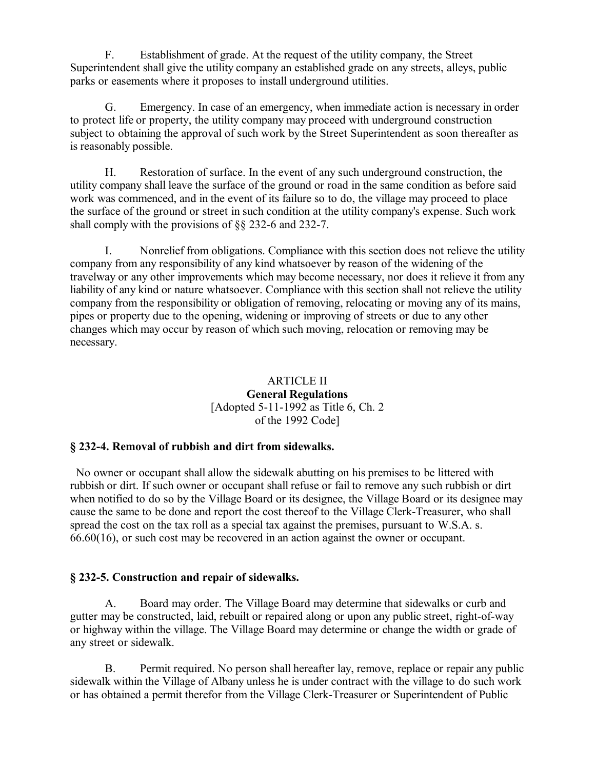F. Establishment of grade. At the request of the utility company, the Street Superintendent shall give the utility company an established grade on any streets, alleys, public parks or easements where it proposes to install underground utilities.

G. Emergency. In case of an emergency, when immediate action is necessary in order to protect life or property, the utility company may proceed with underground construction subject to obtaining the approval of such work by the Street Superintendent as soon thereafter as is reasonably possible.

H. Restoration of surface. In the event of any such underground construction, the utility company shall leave the surface of the ground or road in the same condition as before said work was commenced, and in the event of its failure so to do, the village may proceed to place the surface of the ground or street in such condition at the utility company's expense. Such work shall comply with the provisions of §§ 232-6 and 232-7.

I. Nonrelief from obligations. Compliance with this section does not relieve the utility company from any responsibility of any kind whatsoever by reason of the widening of the travelway or any other improvements which may become necessary, nor does it relieve it from any liability of any kind or nature whatsoever. Compliance with this section shall not relieve the utility company from the responsibility or obligation of removing, relocating or moving any of its mains, pipes or property due to the opening, widening or improving of streets or due to any other changes which may occur by reason of which such moving, relocation or removing may be necessary.

#### ARTICLE II **General Regulations** [Adopted 5-11-1992 as Title 6, Ch. 2 of the 1992 Code]

## **§ 232-4. Removal of rubbish and dirt from sidewalks.**

 No owner or occupant shall allow the sidewalk abutting on his premises to be littered with rubbish or dirt. If such owner or occupant shall refuse or fail to remove any such rubbish or dirt when notified to do so by the Village Board or its designee, the Village Board or its designee may cause the same to be done and report the cost thereof to the Village Clerk-Treasurer, who shall spread the cost on the tax roll as a special tax against the premises, pursuant to W.S.A. s. 66.60(16), or such cost may be recovered in an action against the owner or occupant.

## **§ 232-5. Construction and repair of sidewalks.**

A. Board may order. The Village Board may determine that sidewalks or curb and gutter may be constructed, laid, rebuilt or repaired along or upon any public street, right-of-way or highway within the village. The Village Board may determine or change the width or grade of any street or sidewalk.

B. Permit required. No person shall hereafter lay, remove, replace or repair any public sidewalk within the Village of Albany unless he is under contract with the village to do such work or has obtained a permit therefor from the Village Clerk-Treasurer or Superintendent of Public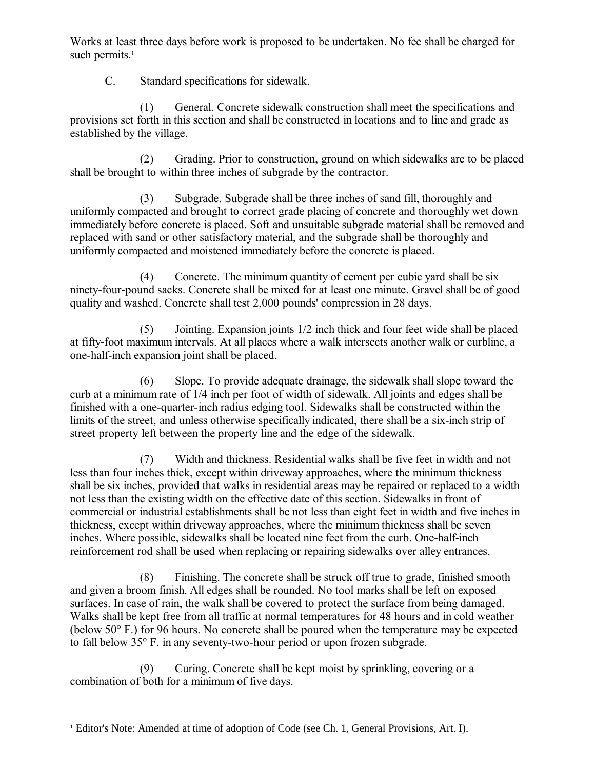Works at least three days before work is proposed to be undertaken. No fee shall be charged for such permits.<sup>[1](#page-3-0)</sup>

C. Standard specifications for sidewalk.

(1) General. Concrete sidewalk construction shall meet the specifications and provisions set forth in this section and shall be constructed in locations and to line and grade as established by the village.

(2) Grading. Prior to construction, ground on which sidewalks are to be placed shall be brought to within three inches of subgrade by the contractor.

(3) Subgrade. Subgrade shall be three inches of sand fill, thoroughly and uniformly compacted and brought to correct grade placing of concrete and thoroughly wet down immediately before concrete is placed. Soft and unsuitable subgrade material shall be removed and replaced with sand or other satisfactory material, and the subgrade shall be thoroughly and uniformly compacted and moistened immediately before the concrete is placed.

(4) Concrete. The minimum quantity of cement per cubic yard shall be six ninety-four-pound sacks. Concrete shall be mixed for at least one minute. Gravel shall be of good quality and washed. Concrete shall test 2,000 pounds' compression in 28 days.

(5) Jointing. Expansion joints 1/2 inch thick and four feet wide shall be placed at fifty-foot maximum intervals. At all places where a walk intersects another walk or curbline, a one-half-inch expansion joint shall be placed.

(6) Slope. To provide adequate drainage, the sidewalk shall slope toward the curb at a minimum rate of 1/4 inch per foot of width of sidewalk. All joints and edges shall be finished with a one-quarter-inch radius edging tool. Sidewalks shall be constructed within the limits of the street, and unless otherwise specifically indicated, there shall be a six-inch strip of street property left between the property line and the edge of the sidewalk.

(7) Width and thickness. Residential walks shall be five feet in width and not less than four inches thick, except within driveway approaches, where the minimum thickness shall be six inches, provided that walks in residential areas may be repaired or replaced to a width not less than the existing width on the effective date of this section. Sidewalks in front of commercial or industrial establishments shall be not less than eight feet in width and five inches in thickness, except within driveway approaches, where the minimum thickness shall be seven inches. Where possible, sidewalks shall be located nine feet from the curb. One-half-inch reinforcement rod shall be used when replacing or repairing sidewalks over alley entrances.

(8) Finishing. The concrete shall be struck off true to grade, finished smooth and given a broom finish. All edges shall be rounded. No tool marks shall be left on exposed surfaces. In case of rain, the walk shall be covered to protect the surface from being damaged. Walks shall be kept free from all traffic at normal temperatures for 48 hours and in cold weather (below 50° F.) for 96 hours. No concrete shall be poured when the temperature may be expected to fall below 35° F. in any seventy-two-hour period or upon frozen subgrade.

(9) Curing. Concrete shall be kept moist by sprinkling, covering or a combination of both for a minimum of five days.

<span id="page-3-0"></span><sup>1</sup> Editor's Note: Amended at time of adoption of Code (see Ch. 1, General Provisions, Art. I).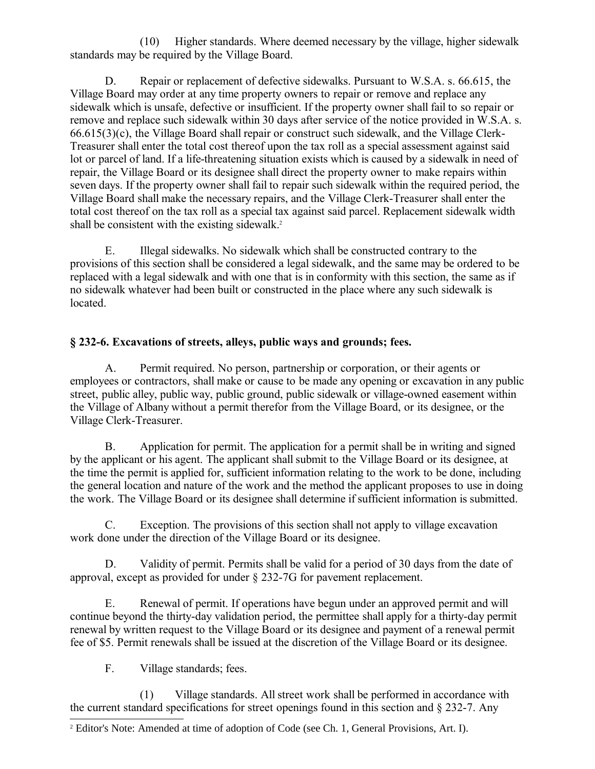(10) Higher standards. Where deemed necessary by the village, higher sidewalk standards may be required by the Village Board.

D. Repair or replacement of defective sidewalks. Pursuant to W.S.A. s. 66.615, the Village Board may order at any time property owners to repair or remove and replace any sidewalk which is unsafe, defective or insufficient. If the property owner shall fail to so repair or remove and replace such sidewalk within 30 days after service of the notice provided in W.S.A. s. 66.615(3)(c), the Village Board shall repair or construct such sidewalk, and the Village Clerk-Treasurer shall enter the total cost thereof upon the tax roll as a special assessment against said lot or parcel of land. If a life-threatening situation exists which is caused by a sidewalk in need of repair, the Village Board or its designee shall direct the property owner to make repairs within seven days. If the property owner shall fail to repair such sidewalk within the required period, the Village Board shall make the necessary repairs, and the Village Clerk-Treasurer shall enter the total cost thereof on the tax roll as a special tax against said parcel. Replacement sidewalk width shall be consistent with the existing sidewalk.<sup>[2](#page-4-0)</sup>

E. Illegal sidewalks. No sidewalk which shall be constructed contrary to the provisions of this section shall be considered a legal sidewalk, and the same may be ordered to be replaced with a legal sidewalk and with one that is in conformity with this section, the same as if no sidewalk whatever had been built or constructed in the place where any such sidewalk is located.

# **§ 232-6. Excavations of streets, alleys, public ways and grounds; fees.**

A. Permit required. No person, partnership or corporation, or their agents or employees or contractors, shall make or cause to be made any opening or excavation in any public street, public alley, public way, public ground, public sidewalk or village-owned easement within the Village of Albany without a permit therefor from the Village Board, or its designee, or the Village Clerk-Treasurer.

B. Application for permit. The application for a permit shall be in writing and signed by the applicant or his agent. The applicant shall submit to the Village Board or its designee, at the time the permit is applied for, sufficient information relating to the work to be done, including the general location and nature of the work and the method the applicant proposes to use in doing the work. The Village Board or its designee shall determine if sufficient information is submitted.

C. Exception. The provisions of this section shall not apply to village excavation work done under the direction of the Village Board or its designee.

D. Validity of permit. Permits shall be valid for a period of 30 days from the date of approval, except as provided for under § 232-7G for pavement replacement.

E. Renewal of permit. If operations have begun under an approved permit and will continue beyond the thirty-day validation period, the permittee shall apply for a thirty-day permit renewal by written request to the Village Board or its designee and payment of a renewal permit fee of \$5. Permit renewals shall be issued at the discretion of the Village Board or its designee.

F. Village standards; fees.

(1) Village standards. All street work shall be performed in accordance with the current standard specifications for street openings found in this section and § 232-7. Any

<span id="page-4-0"></span><sup>2</sup> Editor's Note: Amended at time of adoption of Code (see Ch. 1, General Provisions, Art. I).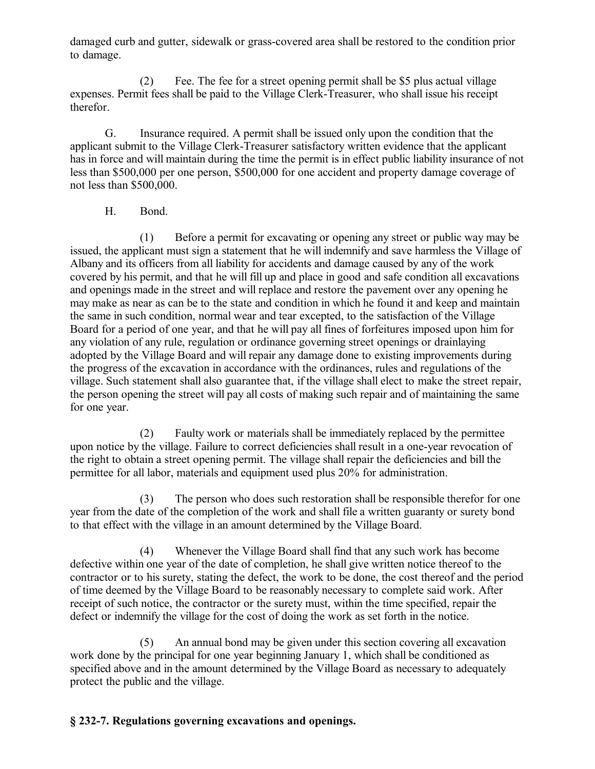damaged curb and gutter, sidewalk or grass-covered area shall be restored to the condition prior to damage.

(2) Fee. The fee for a street opening permit shall be \$5 plus actual village expenses. Permit fees shall be paid to the Village Clerk-Treasurer, who shall issue his receipt therefor.

G. Insurance required. A permit shall be issued only upon the condition that the applicant submit to the Village Clerk-Treasurer satisfactory written evidence that the applicant has in force and will maintain during the time the permit is in effect public liability insurance of not less than \$500,000 per one person, \$500,000 for one accident and property damage coverage of not less than \$500,000.

## H. Bond.

(1) Before a permit for excavating or opening any street or public way may be issued, the applicant must sign a statement that he will indemnify and save harmless the Village of Albany and its officers from all liability for accidents and damage caused by any of the work covered by his permit, and that he will fill up and place in good and safe condition all excavations and openings made in the street and will replace and restore the pavement over any opening he may make as near as can be to the state and condition in which he found it and keep and maintain the same in such condition, normal wear and tear excepted, to the satisfaction of the Village Board for a period of one year, and that he will pay all fines of forfeitures imposed upon him for any violation of any rule, regulation or ordinance governing street openings or drainlaying adopted by the Village Board and will repair any damage done to existing improvements during the progress of the excavation in accordance with the ordinances, rules and regulations of the village. Such statement shall also guarantee that, if the village shall elect to make the street repair, the person opening the street will pay all costs of making such repair and of maintaining the same for one year.

(2) Faulty work or materials shall be immediately replaced by the permittee upon notice by the village. Failure to correct deficiencies shall result in a one-year revocation of the right to obtain a street opening permit. The village shall repair the deficiencies and bill the permittee for all labor, materials and equipment used plus 20% for administration.

(3) The person who does such restoration shall be responsible therefor for one year from the date of the completion of the work and shall file a written guaranty or surety bond to that effect with the village in an amount determined by the Village Board.

(4) Whenever the Village Board shall find that any such work has become defective within one year of the date of completion, he shall give written notice thereof to the contractor or to his surety, stating the defect, the work to be done, the cost thereof and the period of time deemed by the Village Board to be reasonably necessary to complete said work. After receipt of such notice, the contractor or the surety must, within the time specified, repair the defect or indemnify the village for the cost of doing the work as set forth in the notice.

(5) An annual bond may be given under this section covering all excavation work done by the principal for one year beginning January 1, which shall be conditioned as specified above and in the amount determined by the Village Board as necessary to adequately protect the public and the village.

# **§ 232-7. Regulations governing excavations and openings.**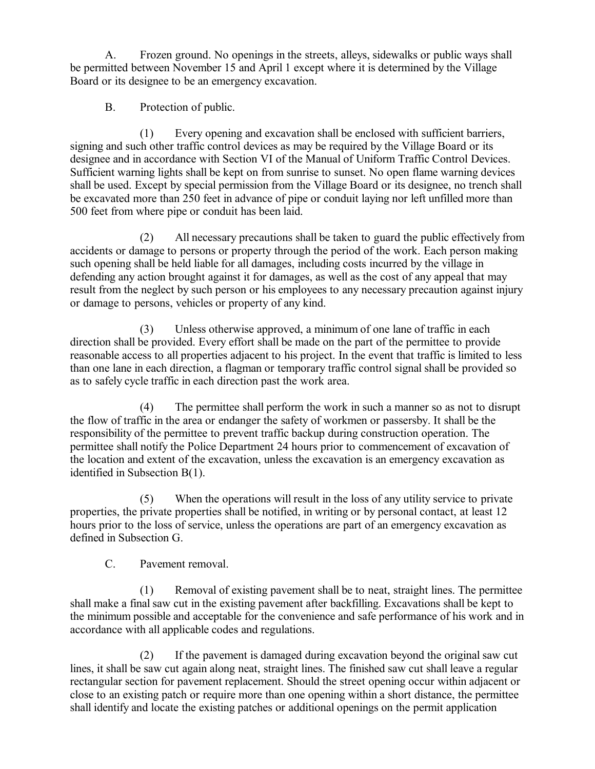A. Frozen ground. No openings in the streets, alleys, sidewalks or public ways shall be permitted between November 15 and April 1 except where it is determined by the Village Board or its designee to be an emergency excavation.

B. Protection of public.

(1) Every opening and excavation shall be enclosed with sufficient barriers, signing and such other traffic control devices as may be required by the Village Board or its designee and in accordance with Section VI of the Manual of Uniform Traffic Control Devices. Sufficient warning lights shall be kept on from sunrise to sunset. No open flame warning devices shall be used. Except by special permission from the Village Board or its designee, no trench shall be excavated more than 250 feet in advance of pipe or conduit laying nor left unfilled more than 500 feet from where pipe or conduit has been laid.

(2) All necessary precautions shall be taken to guard the public effectively from accidents or damage to persons or property through the period of the work. Each person making such opening shall be held liable for all damages, including costs incurred by the village in defending any action brought against it for damages, as well as the cost of any appeal that may result from the neglect by such person or his employees to any necessary precaution against injury or damage to persons, vehicles or property of any kind.

(3) Unless otherwise approved, a minimum of one lane of traffic in each direction shall be provided. Every effort shall be made on the part of the permittee to provide reasonable access to all properties adjacent to his project. In the event that traffic is limited to less than one lane in each direction, a flagman or temporary traffic control signal shall be provided so as to safely cycle traffic in each direction past the work area.

(4) The permittee shall perform the work in such a manner so as not to disrupt the flow of traffic in the area or endanger the safety of workmen or passersby. It shall be the responsibility of the permittee to prevent traffic backup during construction operation. The permittee shall notify the Police Department 24 hours prior to commencement of excavation of the location and extent of the excavation, unless the excavation is an emergency excavation as identified in Subsection B(1).

(5) When the operations will result in the loss of any utility service to private properties, the private properties shall be notified, in writing or by personal contact, at least 12 hours prior to the loss of service, unless the operations are part of an emergency excavation as defined in Subsection G.

C. Pavement removal.

(1) Removal of existing pavement shall be to neat, straight lines. The permittee shall make a final saw cut in the existing pavement after backfilling. Excavations shall be kept to the minimum possible and acceptable for the convenience and safe performance of his work and in accordance with all applicable codes and regulations.

(2) If the pavement is damaged during excavation beyond the original saw cut lines, it shall be saw cut again along neat, straight lines. The finished saw cut shall leave a regular rectangular section for pavement replacement. Should the street opening occur within adjacent or close to an existing patch or require more than one opening within a short distance, the permittee shall identify and locate the existing patches or additional openings on the permit application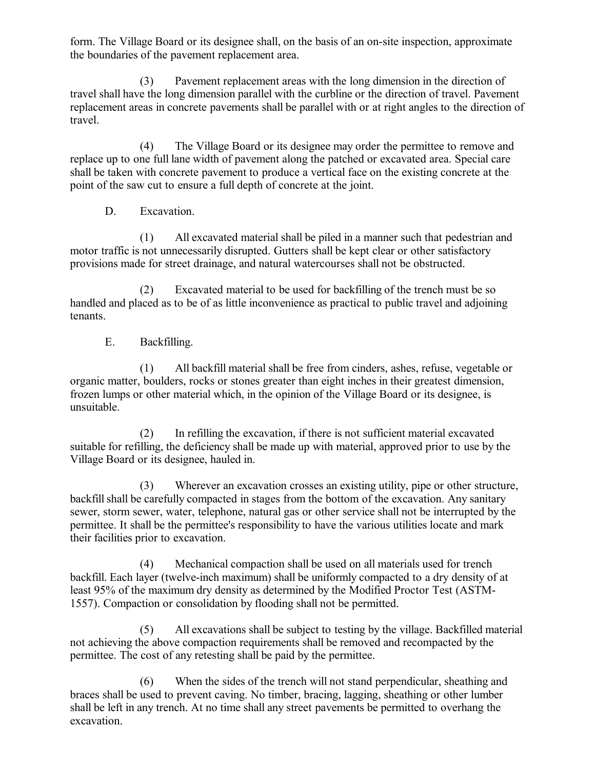form. The Village Board or its designee shall, on the basis of an on-site inspection, approximate the boundaries of the pavement replacement area.

(3) Pavement replacement areas with the long dimension in the direction of travel shall have the long dimension parallel with the curbline or the direction of travel. Pavement replacement areas in concrete pavements shall be parallel with or at right angles to the direction of travel.

(4) The Village Board or its designee may order the permittee to remove and replace up to one full lane width of pavement along the patched or excavated area. Special care shall be taken with concrete pavement to produce a vertical face on the existing concrete at the point of the saw cut to ensure a full depth of concrete at the joint.

D. Excavation.

(1) All excavated material shall be piled in a manner such that pedestrian and motor traffic is not unnecessarily disrupted. Gutters shall be kept clear or other satisfactory provisions made for street drainage, and natural watercourses shall not be obstructed.

(2) Excavated material to be used for backfilling of the trench must be so handled and placed as to be of as little inconvenience as practical to public travel and adjoining tenants.

E. Backfilling.

(1) All backfill material shall be free from cinders, ashes, refuse, vegetable or organic matter, boulders, rocks or stones greater than eight inches in their greatest dimension, frozen lumps or other material which, in the opinion of the Village Board or its designee, is unsuitable.

(2) In refilling the excavation, if there is not sufficient material excavated suitable for refilling, the deficiency shall be made up with material, approved prior to use by the Village Board or its designee, hauled in.

(3) Wherever an excavation crosses an existing utility, pipe or other structure, backfill shall be carefully compacted in stages from the bottom of the excavation. Any sanitary sewer, storm sewer, water, telephone, natural gas or other service shall not be interrupted by the permittee. It shall be the permittee's responsibility to have the various utilities locate and mark their facilities prior to excavation.

(4) Mechanical compaction shall be used on all materials used for trench backfill. Each layer (twelve-inch maximum) shall be uniformly compacted to a dry density of at least 95% of the maximum dry density as determined by the Modified Proctor Test (ASTM-1557). Compaction or consolidation by flooding shall not be permitted.

(5) All excavations shall be subject to testing by the village. Backfilled material not achieving the above compaction requirements shall be removed and recompacted by the permittee. The cost of any retesting shall be paid by the permittee.

(6) When the sides of the trench will not stand perpendicular, sheathing and braces shall be used to prevent caving. No timber, bracing, lagging, sheathing or other lumber shall be left in any trench. At no time shall any street pavements be permitted to overhang the excavation.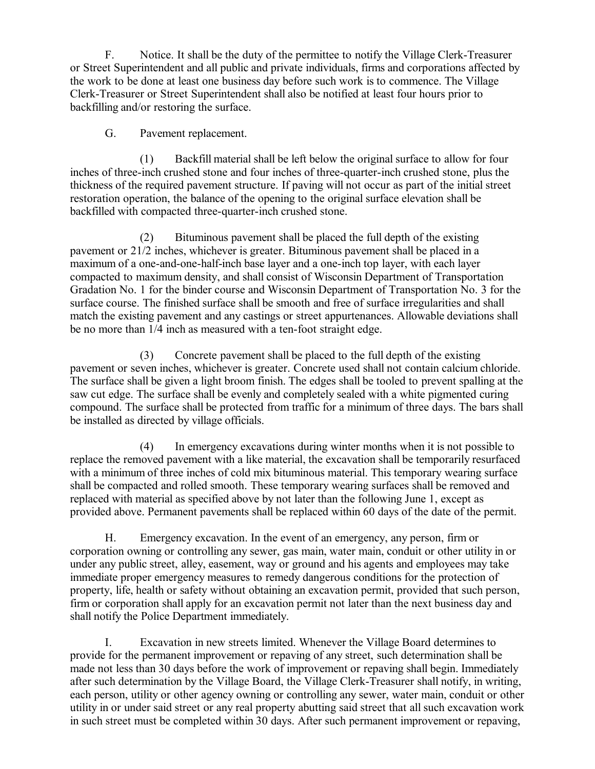F. Notice. It shall be the duty of the permittee to notify the Village Clerk-Treasurer or Street Superintendent and all public and private individuals, firms and corporations affected by the work to be done at least one business day before such work is to commence. The Village Clerk-Treasurer or Street Superintendent shall also be notified at least four hours prior to backfilling and/or restoring the surface.

## G. Pavement replacement.

(1) Backfill material shall be left below the original surface to allow for four inches of three-inch crushed stone and four inches of three-quarter-inch crushed stone, plus the thickness of the required pavement structure. If paving will not occur as part of the initial street restoration operation, the balance of the opening to the original surface elevation shall be backfilled with compacted three-quarter-inch crushed stone.

(2) Bituminous pavement shall be placed the full depth of the existing pavement or 21/2 inches, whichever is greater. Bituminous pavement shall be placed in a maximum of a one-and-one-half-inch base layer and a one-inch top layer, with each layer compacted to maximum density, and shall consist of Wisconsin Department of Transportation Gradation No. 1 for the binder course and Wisconsin Department of Transportation No. 3 for the surface course. The finished surface shall be smooth and free of surface irregularities and shall match the existing pavement and any castings or street appurtenances. Allowable deviations shall be no more than 1/4 inch as measured with a ten-foot straight edge.

(3) Concrete pavement shall be placed to the full depth of the existing pavement or seven inches, whichever is greater. Concrete used shall not contain calcium chloride. The surface shall be given a light broom finish. The edges shall be tooled to prevent spalling at the saw cut edge. The surface shall be evenly and completely sealed with a white pigmented curing compound. The surface shall be protected from traffic for a minimum of three days. The bars shall be installed as directed by village officials.

(4) In emergency excavations during winter months when it is not possible to replace the removed pavement with a like material, the excavation shall be temporarily resurfaced with a minimum of three inches of cold mix bituminous material. This temporary wearing surface shall be compacted and rolled smooth. These temporary wearing surfaces shall be removed and replaced with material as specified above by not later than the following June 1, except as provided above. Permanent pavements shall be replaced within 60 days of the date of the permit.

H. Emergency excavation. In the event of an emergency, any person, firm or corporation owning or controlling any sewer, gas main, water main, conduit or other utility in or under any public street, alley, easement, way or ground and his agents and employees may take immediate proper emergency measures to remedy dangerous conditions for the protection of property, life, health or safety without obtaining an excavation permit, provided that such person, firm or corporation shall apply for an excavation permit not later than the next business day and shall notify the Police Department immediately.

I. Excavation in new streets limited. Whenever the Village Board determines to provide for the permanent improvement or repaving of any street, such determination shall be made not less than 30 days before the work of improvement or repaving shall begin. Immediately after such determination by the Village Board, the Village Clerk-Treasurer shall notify, in writing, each person, utility or other agency owning or controlling any sewer, water main, conduit or other utility in or under said street or any real property abutting said street that all such excavation work in such street must be completed within 30 days. After such permanent improvement or repaving,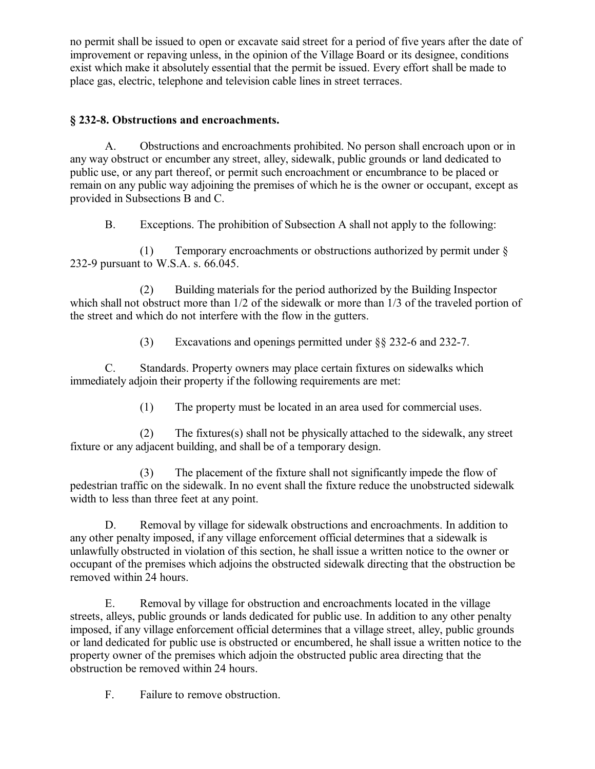no permit shall be issued to open or excavate said street for a period of five years after the date of improvement or repaving unless, in the opinion of the Village Board or its designee, conditions exist which make it absolutely essential that the permit be issued. Every effort shall be made to place gas, electric, telephone and television cable lines in street terraces.

# **§ 232-8. Obstructions and encroachments.**

A. Obstructions and encroachments prohibited. No person shall encroach upon or in any way obstruct or encumber any street, alley, sidewalk, public grounds or land dedicated to public use, or any part thereof, or permit such encroachment or encumbrance to be placed or remain on any public way adjoining the premises of which he is the owner or occupant, except as provided in Subsections B and C.

B. Exceptions. The prohibition of Subsection A shall not apply to the following:

(1) Temporary encroachments or obstructions authorized by permit under § 232-9 pursuant to W.S.A. s. 66.045.

(2) Building materials for the period authorized by the Building Inspector which shall not obstruct more than  $1/2$  of the sidewalk or more than  $1/3$  of the traveled portion of the street and which do not interfere with the flow in the gutters.

(3) Excavations and openings permitted under §§ 232-6 and 232-7.

C. Standards. Property owners may place certain fixtures on sidewalks which immediately adjoin their property if the following requirements are met:

(1) The property must be located in an area used for commercial uses.

(2) The fixtures(s) shall not be physically attached to the sidewalk, any street fixture or any adjacent building, and shall be of a temporary design.

(3) The placement of the fixture shall not significantly impede the flow of pedestrian traffic on the sidewalk. In no event shall the fixture reduce the unobstructed sidewalk width to less than three feet at any point.

D. Removal by village for sidewalk obstructions and encroachments. In addition to any other penalty imposed, if any village enforcement official determines that a sidewalk is unlawfully obstructed in violation of this section, he shall issue a written notice to the owner or occupant of the premises which adjoins the obstructed sidewalk directing that the obstruction be removed within 24 hours.

E. Removal by village for obstruction and encroachments located in the village streets, alleys, public grounds or lands dedicated for public use. In addition to any other penalty imposed, if any village enforcement official determines that a village street, alley, public grounds or land dedicated for public use is obstructed or encumbered, he shall issue a written notice to the property owner of the premises which adjoin the obstructed public area directing that the obstruction be removed within 24 hours.

F. Failure to remove obstruction.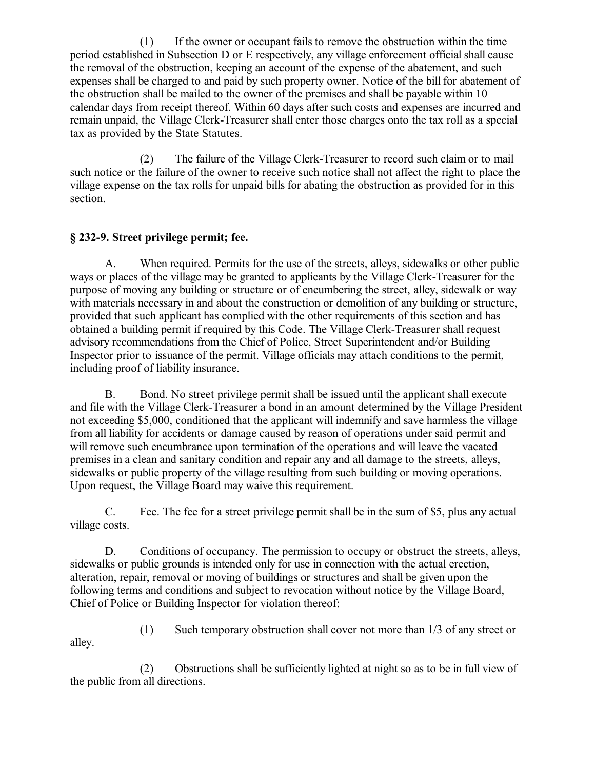(1) If the owner or occupant fails to remove the obstruction within the time period established in Subsection D or E respectively, any village enforcement official shall cause the removal of the obstruction, keeping an account of the expense of the abatement, and such expenses shall be charged to and paid by such property owner. Notice of the bill for abatement of the obstruction shall be mailed to the owner of the premises and shall be payable within 10 calendar days from receipt thereof. Within 60 days after such costs and expenses are incurred and remain unpaid, the Village Clerk-Treasurer shall enter those charges onto the tax roll as a special tax as provided by the State Statutes.

(2) The failure of the Village Clerk-Treasurer to record such claim or to mail such notice or the failure of the owner to receive such notice shall not affect the right to place the village expense on the tax rolls for unpaid bills for abating the obstruction as provided for in this section.

# **§ 232-9. Street privilege permit; fee.**

A. When required. Permits for the use of the streets, alleys, sidewalks or other public ways or places of the village may be granted to applicants by the Village Clerk-Treasurer for the purpose of moving any building or structure or of encumbering the street, alley, sidewalk or way with materials necessary in and about the construction or demolition of any building or structure, provided that such applicant has complied with the other requirements of this section and has obtained a building permit if required by this Code. The Village Clerk-Treasurer shall request advisory recommendations from the Chief of Police, Street Superintendent and/or Building Inspector prior to issuance of the permit. Village officials may attach conditions to the permit, including proof of liability insurance.

B. Bond. No street privilege permit shall be issued until the applicant shall execute and file with the Village Clerk-Treasurer a bond in an amount determined by the Village President not exceeding \$5,000, conditioned that the applicant will indemnify and save harmless the village from all liability for accidents or damage caused by reason of operations under said permit and will remove such encumbrance upon termination of the operations and will leave the vacated premises in a clean and sanitary condition and repair any and all damage to the streets, alleys, sidewalks or public property of the village resulting from such building or moving operations. Upon request, the Village Board may waive this requirement.

C. Fee. The fee for a street privilege permit shall be in the sum of \$5, plus any actual village costs.

D. Conditions of occupancy. The permission to occupy or obstruct the streets, alleys, sidewalks or public grounds is intended only for use in connection with the actual erection, alteration, repair, removal or moving of buildings or structures and shall be given upon the following terms and conditions and subject to revocation without notice by the Village Board, Chief of Police or Building Inspector for violation thereof:

(1) Such temporary obstruction shall cover not more than 1/3 of any street or alley.

(2) Obstructions shall be sufficiently lighted at night so as to be in full view of the public from all directions.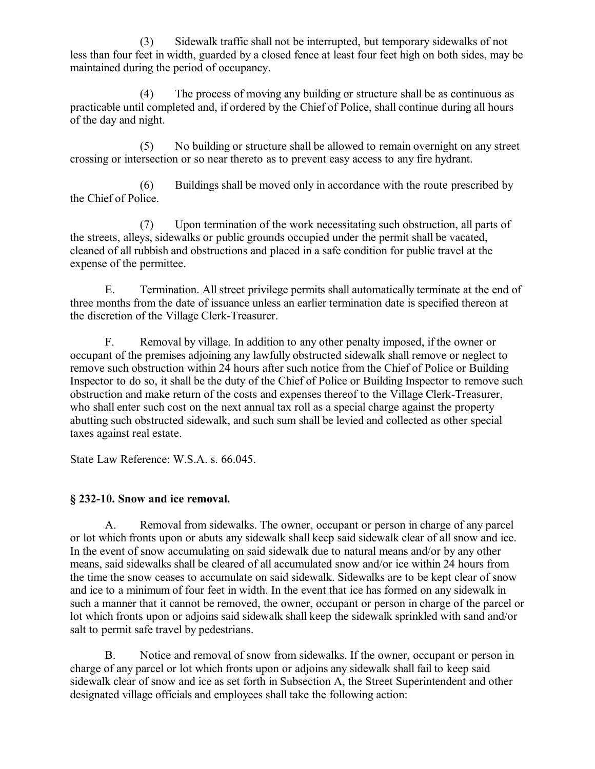(3) Sidewalk traffic shall not be interrupted, but temporary sidewalks of not less than four feet in width, guarded by a closed fence at least four feet high on both sides, may be maintained during the period of occupancy.

(4) The process of moving any building or structure shall be as continuous as practicable until completed and, if ordered by the Chief of Police, shall continue during all hours of the day and night.

(5) No building or structure shall be allowed to remain overnight on any street crossing or intersection or so near thereto as to prevent easy access to any fire hydrant.

(6) Buildings shall be moved only in accordance with the route prescribed by the Chief of Police.

(7) Upon termination of the work necessitating such obstruction, all parts of the streets, alleys, sidewalks or public grounds occupied under the permit shall be vacated, cleaned of all rubbish and obstructions and placed in a safe condition for public travel at the expense of the permittee.

E. Termination. All street privilege permits shall automatically terminate at the end of three months from the date of issuance unless an earlier termination date is specified thereon at the discretion of the Village Clerk-Treasurer.

F. Removal by village. In addition to any other penalty imposed, if the owner or occupant of the premises adjoining any lawfully obstructed sidewalk shall remove or neglect to remove such obstruction within 24 hours after such notice from the Chief of Police or Building Inspector to do so, it shall be the duty of the Chief of Police or Building Inspector to remove such obstruction and make return of the costs and expenses thereof to the Village Clerk-Treasurer, who shall enter such cost on the next annual tax roll as a special charge against the property abutting such obstructed sidewalk, and such sum shall be levied and collected as other special taxes against real estate.

State Law Reference: W.S.A. s. 66.045.

# **§ 232-10. Snow and ice removal.**

A. Removal from sidewalks. The owner, occupant or person in charge of any parcel or lot which fronts upon or abuts any sidewalk shall keep said sidewalk clear of all snow and ice. In the event of snow accumulating on said sidewalk due to natural means and/or by any other means, said sidewalks shall be cleared of all accumulated snow and/or ice within 24 hours from the time the snow ceases to accumulate on said sidewalk. Sidewalks are to be kept clear of snow and ice to a minimum of four feet in width. In the event that ice has formed on any sidewalk in such a manner that it cannot be removed, the owner, occupant or person in charge of the parcel or lot which fronts upon or adjoins said sidewalk shall keep the sidewalk sprinkled with sand and/or salt to permit safe travel by pedestrians.

B. Notice and removal of snow from sidewalks. If the owner, occupant or person in charge of any parcel or lot which fronts upon or adjoins any sidewalk shall fail to keep said sidewalk clear of snow and ice as set forth in Subsection A, the Street Superintendent and other designated village officials and employees shall take the following action: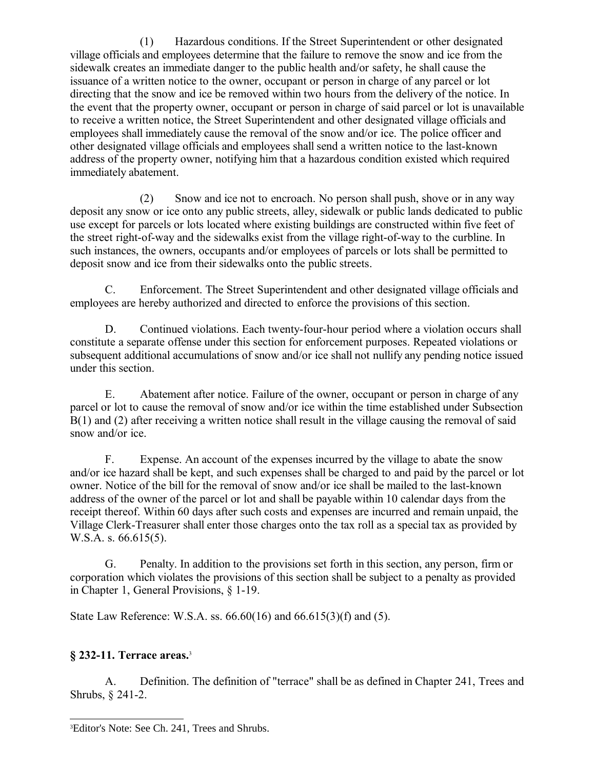(1) Hazardous conditions. If the Street Superintendent or other designated village officials and employees determine that the failure to remove the snow and ice from the sidewalk creates an immediate danger to the public health and/or safety, he shall cause the issuance of a written notice to the owner, occupant or person in charge of any parcel or lot directing that the snow and ice be removed within two hours from the delivery of the notice. In the event that the property owner, occupant or person in charge of said parcel or lot is unavailable to receive a written notice, the Street Superintendent and other designated village officials and employees shall immediately cause the removal of the snow and/or ice. The police officer and other designated village officials and employees shall send a written notice to the last-known address of the property owner, notifying him that a hazardous condition existed which required immediately abatement.

(2) Snow and ice not to encroach. No person shall push, shove or in any way deposit any snow or ice onto any public streets, alley, sidewalk or public lands dedicated to public use except for parcels or lots located where existing buildings are constructed within five feet of the street right-of-way and the sidewalks exist from the village right-of-way to the curbline. In such instances, the owners, occupants and/or employees of parcels or lots shall be permitted to deposit snow and ice from their sidewalks onto the public streets.

C. Enforcement. The Street Superintendent and other designated village officials and employees are hereby authorized and directed to enforce the provisions of this section.

D. Continued violations. Each twenty-four-hour period where a violation occurs shall constitute a separate offense under this section for enforcement purposes. Repeated violations or subsequent additional accumulations of snow and/or ice shall not nullify any pending notice issued under this section.

E. Abatement after notice. Failure of the owner, occupant or person in charge of any parcel or lot to cause the removal of snow and/or ice within the time established under Subsection B(1) and (2) after receiving a written notice shall result in the village causing the removal of said snow and/or ice.

F. Expense. An account of the expenses incurred by the village to abate the snow and/or ice hazard shall be kept, and such expenses shall be charged to and paid by the parcel or lot owner. Notice of the bill for the removal of snow and/or ice shall be mailed to the last-known address of the owner of the parcel or lot and shall be payable within 10 calendar days from the receipt thereof. Within 60 days after such costs and expenses are incurred and remain unpaid, the Village Clerk-Treasurer shall enter those charges onto the tax roll as a special tax as provided by W.S.A. s. 66.615(5).

G. Penalty. In addition to the provisions set forth in this section, any person, firm or corporation which violates the provisions of this section shall be subject to a penalty as provided in Chapter 1, General Provisions, § 1-19.

State Law Reference: W.S.A. ss. 66.60(16) and 66.615(3)(f) and (5).

# **§ 232-11. Terrace areas.**[3](#page-12-0)

A. Definition. The definition of "terrace" shall be as defined in Chapter 241, Trees and Shrubs, § 241-2.

<span id="page-12-0"></span><sup>3</sup>Editor's Note: See Ch. 241, Trees and Shrubs.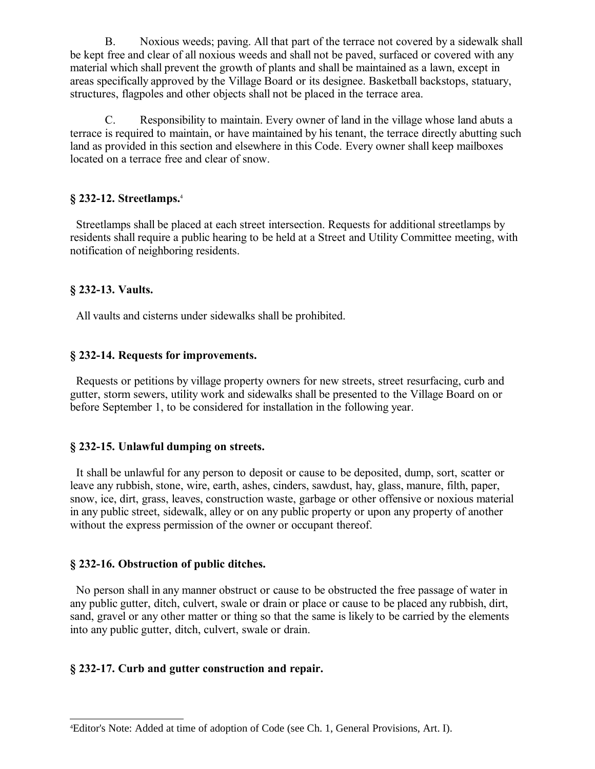B. Noxious weeds; paving. All that part of the terrace not covered by a sidewalk shall be kept free and clear of all noxious weeds and shall not be paved, surfaced or covered with any material which shall prevent the growth of plants and shall be maintained as a lawn, except in areas specifically approved by the Village Board or its designee. Basketball backstops, statuary, structures, flagpoles and other objects shall not be placed in the terrace area.

C. Responsibility to maintain. Every owner of land in the village whose land abuts a terrace is required to maintain, or have maintained by his tenant, the terrace directly abutting such land as provided in this section and elsewhere in this Code. Every owner shall keep mailboxes located on a terrace free and clear of snow.

## **§ 232-12. Streetlamps.**[4](#page-13-0)

 Streetlamps shall be placed at each street intersection. Requests for additional streetlamps by residents shall require a public hearing to be held at a Street and Utility Committee meeting, with notification of neighboring residents.

# **§ 232-13. Vaults.**

All vaults and cisterns under sidewalks shall be prohibited.

# **§ 232-14. Requests for improvements.**

 Requests or petitions by village property owners for new streets, street resurfacing, curb and gutter, storm sewers, utility work and sidewalks shall be presented to the Village Board on or before September 1, to be considered for installation in the following year.

## **§ 232-15. Unlawful dumping on streets.**

 It shall be unlawful for any person to deposit or cause to be deposited, dump, sort, scatter or leave any rubbish, stone, wire, earth, ashes, cinders, sawdust, hay, glass, manure, filth, paper, snow, ice, dirt, grass, leaves, construction waste, garbage or other offensive or noxious material in any public street, sidewalk, alley or on any public property or upon any property of another without the express permission of the owner or occupant thereof.

## **§ 232-16. Obstruction of public ditches.**

 No person shall in any manner obstruct or cause to be obstructed the free passage of water in any public gutter, ditch, culvert, swale or drain or place or cause to be placed any rubbish, dirt, sand, gravel or any other matter or thing so that the same is likely to be carried by the elements into any public gutter, ditch, culvert, swale or drain.

# **§ 232-17. Curb and gutter construction and repair.**

<span id="page-13-0"></span><sup>4</sup>Editor's Note: Added at time of adoption of Code (see Ch. 1, General Provisions, Art. I).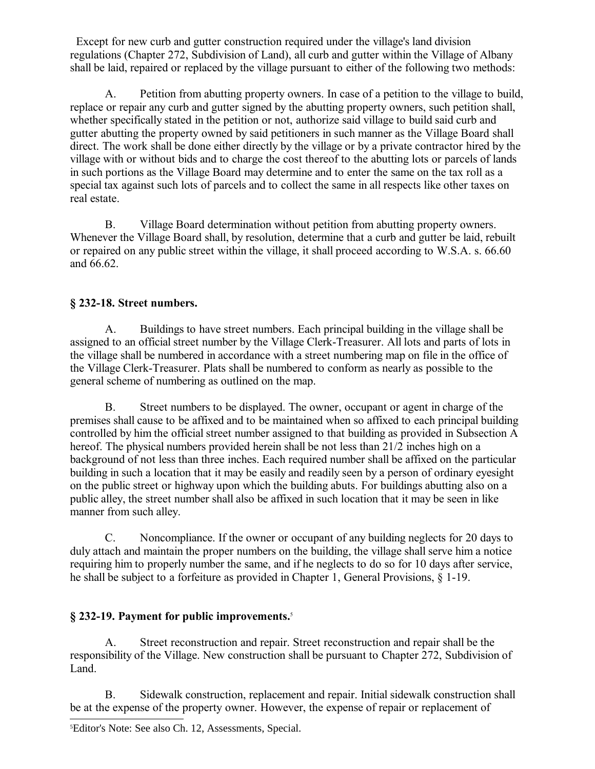Except for new curb and gutter construction required under the village's land division regulations (Chapter 272, Subdivision of Land), all curb and gutter within the Village of Albany shall be laid, repaired or replaced by the village pursuant to either of the following two methods:

A. Petition from abutting property owners. In case of a petition to the village to build, replace or repair any curb and gutter signed by the abutting property owners, such petition shall, whether specifically stated in the petition or not, authorize said village to build said curb and gutter abutting the property owned by said petitioners in such manner as the Village Board shall direct. The work shall be done either directly by the village or by a private contractor hired by the village with or without bids and to charge the cost thereof to the abutting lots or parcels of lands in such portions as the Village Board may determine and to enter the same on the tax roll as a special tax against such lots of parcels and to collect the same in all respects like other taxes on real estate.

B. Village Board determination without petition from abutting property owners. Whenever the Village Board shall, by resolution, determine that a curb and gutter be laid, rebuilt or repaired on any public street within the village, it shall proceed according to W.S.A. s. 66.60 and 66.62.

# **§ 232-18. Street numbers.**

A. Buildings to have street numbers. Each principal building in the village shall be assigned to an official street number by the Village Clerk-Treasurer. All lots and parts of lots in the village shall be numbered in accordance with a street numbering map on file in the office of the Village Clerk-Treasurer. Plats shall be numbered to conform as nearly as possible to the general scheme of numbering as outlined on the map.

B. Street numbers to be displayed. The owner, occupant or agent in charge of the premises shall cause to be affixed and to be maintained when so affixed to each principal building controlled by him the official street number assigned to that building as provided in Subsection A hereof. The physical numbers provided herein shall be not less than 21/2 inches high on a background of not less than three inches. Each required number shall be affixed on the particular building in such a location that it may be easily and readily seen by a person of ordinary eyesight on the public street or highway upon which the building abuts. For buildings abutting also on a public alley, the street number shall also be affixed in such location that it may be seen in like manner from such alley.

C. Noncompliance. If the owner or occupant of any building neglects for 20 days to duly attach and maintain the proper numbers on the building, the village shall serve him a notice requiring him to properly number the same, and if he neglects to do so for 10 days after service, he shall be subject to a forfeiture as provided in Chapter 1, General Provisions, § 1-19.

# **§ 232-19. Payment for public improvements.**[5](#page-14-0)

A. Street reconstruction and repair. Street reconstruction and repair shall be the responsibility of the Village. New construction shall be pursuant to Chapter 272, Subdivision of Land.

<span id="page-14-0"></span>B. Sidewalk construction, replacement and repair. Initial sidewalk construction shall be at the expense of the property owner. However, the expense of repair or replacement of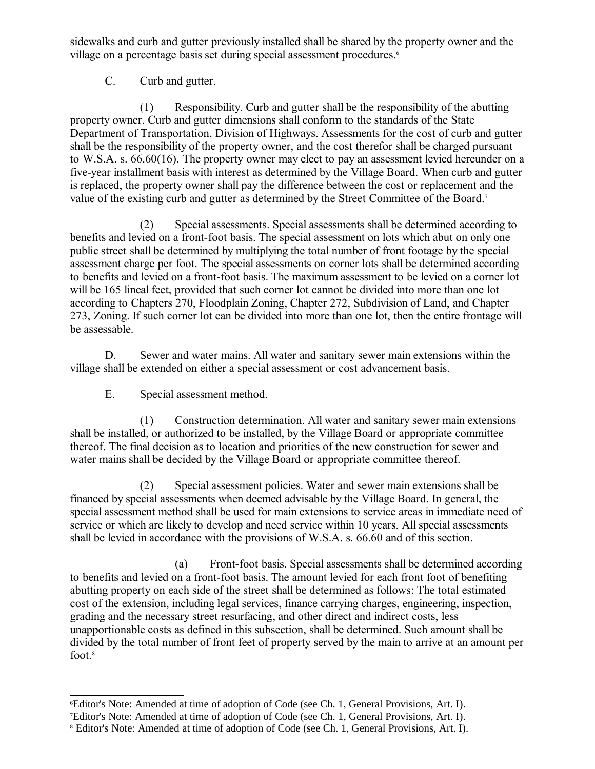sidewalks and curb and gutter previously installed shall be shared by the property owner and the village on a percentage basis set during special assessment procedures.<sup>[6](#page-15-0)</sup>

C. Curb and gutter.

(1) Responsibility. Curb and gutter shall be the responsibility of the abutting property owner. Curb and gutter dimensions shall conform to the standards of the State Department of Transportation, Division of Highways. Assessments for the cost of curb and gutter shall be the responsibility of the property owner, and the cost therefor shall be charged pursuant to W.S.A. s. 66.60(16). The property owner may elect to pay an assessment levied hereunder on a five-year installment basis with interest as determined by the Village Board. When curb and gutter is replaced, the property owner shall pay the difference between the cost or replacement and the value of the existing curb and gutter as determined by the Street Committee of the Board.[7](#page-15-1)

(2) Special assessments. Special assessments shall be determined according to benefits and levied on a front-foot basis. The special assessment on lots which abut on only one public street shall be determined by multiplying the total number of front footage by the special assessment charge per foot. The special assessments on corner lots shall be determined according to benefits and levied on a front-foot basis. The maximum assessment to be levied on a corner lot will be 165 lineal feet, provided that such corner lot cannot be divided into more than one lot according to Chapters 270, Floodplain Zoning, Chapter 272, Subdivision of Land, and Chapter 273, Zoning. If such corner lot can be divided into more than one lot, then the entire frontage will be assessable.

D. Sewer and water mains. All water and sanitary sewer main extensions within the village shall be extended on either a special assessment or cost advancement basis.

E. Special assessment method.

(1) Construction determination. All water and sanitary sewer main extensions shall be installed, or authorized to be installed, by the Village Board or appropriate committee thereof. The final decision as to location and priorities of the new construction for sewer and water mains shall be decided by the Village Board or appropriate committee thereof.

(2) Special assessment policies. Water and sewer main extensions shall be financed by special assessments when deemed advisable by the Village Board. In general, the special assessment method shall be used for main extensions to service areas in immediate need of service or which are likely to develop and need service within 10 years. All special assessments shall be levied in accordance with the provisions of W.S.A. s. 66.60 and of this section.

(a) Front-foot basis. Special assessments shall be determined according to benefits and levied on a front-foot basis. The amount levied for each front foot of benefiting abutting property on each side of the street shall be determined as follows: The total estimated cost of the extension, including legal services, finance carrying charges, engineering, inspection, grading and the necessary street resurfacing, and other direct and indirect costs, less unapportionable costs as defined in this subsection, shall be determined. Such amount shall be divided by the total number of front feet of property served by the main to arrive at an amount per foot.<sup>[8](#page-15-2)</sup>

<span id="page-15-0"></span><sup>6</sup>Editor's Note: Amended at time of adoption of Code (see Ch. 1, General Provisions, Art. I).

<span id="page-15-1"></span><sup>7</sup>Editor's Note: Amended at time of adoption of Code (see Ch. 1, General Provisions, Art. I).

<span id="page-15-2"></span><sup>8</sup> Editor's Note: Amended at time of adoption of Code (see Ch. 1, General Provisions, Art. I).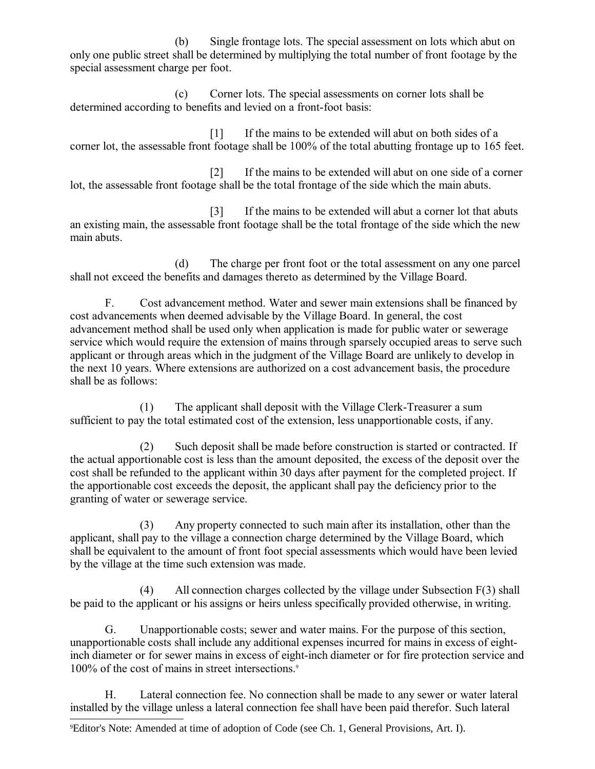(b) Single frontage lots. The special assessment on lots which abut on only one public street shall be determined by multiplying the total number of front footage by the special assessment charge per foot.

(c) Corner lots. The special assessments on corner lots shall be determined according to benefits and levied on a front-foot basis:

[1] If the mains to be extended will abut on both sides of a corner lot, the assessable front footage shall be 100% of the total abutting frontage up to 165 feet.

[2] If the mains to be extended will abut on one side of a corner lot, the assessable front footage shall be the total frontage of the side which the main abuts.

[3] If the mains to be extended will abut a corner lot that abuts an existing main, the assessable front footage shall be the total frontage of the side which the new main abuts.

(d) The charge per front foot or the total assessment on any one parcel shall not exceed the benefits and damages thereto as determined by the Village Board.

F. Cost advancement method. Water and sewer main extensions shall be financed by cost advancements when deemed advisable by the Village Board. In general, the cost advancement method shall be used only when application is made for public water or sewerage service which would require the extension of mains through sparsely occupied areas to serve such applicant or through areas which in the judgment of the Village Board are unlikely to develop in the next 10 years. Where extensions are authorized on a cost advancement basis, the procedure shall be as follows:

(1) The applicant shall deposit with the Village Clerk-Treasurer a sum sufficient to pay the total estimated cost of the extension, less unapportionable costs, if any.

(2) Such deposit shall be made before construction is started or contracted. If the actual apportionable cost is less than the amount deposited, the excess of the deposit over the cost shall be refunded to the applicant within 30 days after payment for the completed project. If the apportionable cost exceeds the deposit, the applicant shall pay the deficiency prior to the granting of water or sewerage service.

(3) Any property connected to such main after its installation, other than the applicant, shall pay to the village a connection charge determined by the Village Board, which shall be equivalent to the amount of front foot special assessments which would have been levied by the village at the time such extension was made.

(4) All connection charges collected by the village under Subsection F(3) shall be paid to the applicant or his assigns or heirs unless specifically provided otherwise, in writing.

G. Unapportionable costs; sewer and water mains. For the purpose of this section, unapportionable costs shall include any additional expenses incurred for mains in excess of eightinch diameter or for sewer mains in excess of eight-inch diameter or for fire protection service and 100% of the cost of mains in street intersections.<sup>[9](#page-16-0)</sup>

H. Lateral connection fee. No connection shall be made to any sewer or water lateral installed by the village unless a lateral connection fee shall have been paid therefor. Such lateral

<span id="page-16-0"></span><sup>9</sup>Editor's Note: Amended at time of adoption of Code (see Ch. 1, General Provisions, Art. I).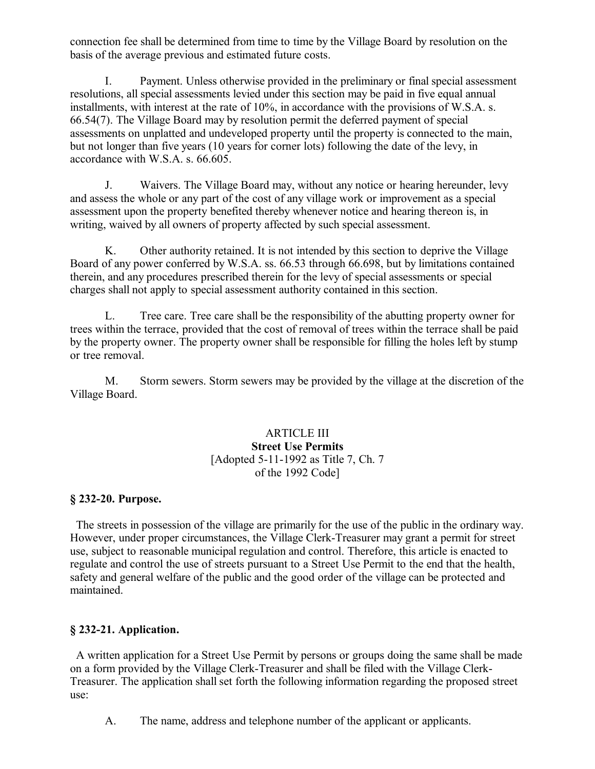connection fee shall be determined from time to time by the Village Board by resolution on the basis of the average previous and estimated future costs.

I. Payment. Unless otherwise provided in the preliminary or final special assessment resolutions, all special assessments levied under this section may be paid in five equal annual installments, with interest at the rate of 10%, in accordance with the provisions of W.S.A. s. 66.54(7). The Village Board may by resolution permit the deferred payment of special assessments on unplatted and undeveloped property until the property is connected to the main, but not longer than five years (10 years for corner lots) following the date of the levy, in accordance with W.S.A. s. 66.605.

J. Waivers. The Village Board may, without any notice or hearing hereunder, levy and assess the whole or any part of the cost of any village work or improvement as a special assessment upon the property benefited thereby whenever notice and hearing thereon is, in writing, waived by all owners of property affected by such special assessment.

K. Other authority retained. It is not intended by this section to deprive the Village Board of any power conferred by W.S.A. ss. 66.53 through 66.698, but by limitations contained therein, and any procedures prescribed therein for the levy of special assessments or special charges shall not apply to special assessment authority contained in this section.

L. Tree care. Tree care shall be the responsibility of the abutting property owner for trees within the terrace, provided that the cost of removal of trees within the terrace shall be paid by the property owner. The property owner shall be responsible for filling the holes left by stump or tree removal.

M. Storm sewers. Storm sewers may be provided by the village at the discretion of the Village Board.

## ARTICLE III **Street Use Permits** [Adopted 5-11-1992 as Title 7, Ch. 7 of the 1992 Code]

## **§ 232-20. Purpose.**

 The streets in possession of the village are primarily for the use of the public in the ordinary way. However, under proper circumstances, the Village Clerk-Treasurer may grant a permit for street use, subject to reasonable municipal regulation and control. Therefore, this article is enacted to regulate and control the use of streets pursuant to a Street Use Permit to the end that the health, safety and general welfare of the public and the good order of the village can be protected and maintained.

# **§ 232-21. Application.**

 A written application for a Street Use Permit by persons or groups doing the same shall be made on a form provided by the Village Clerk-Treasurer and shall be filed with the Village Clerk-Treasurer. The application shall set forth the following information regarding the proposed street use:

A. The name, address and telephone number of the applicant or applicants.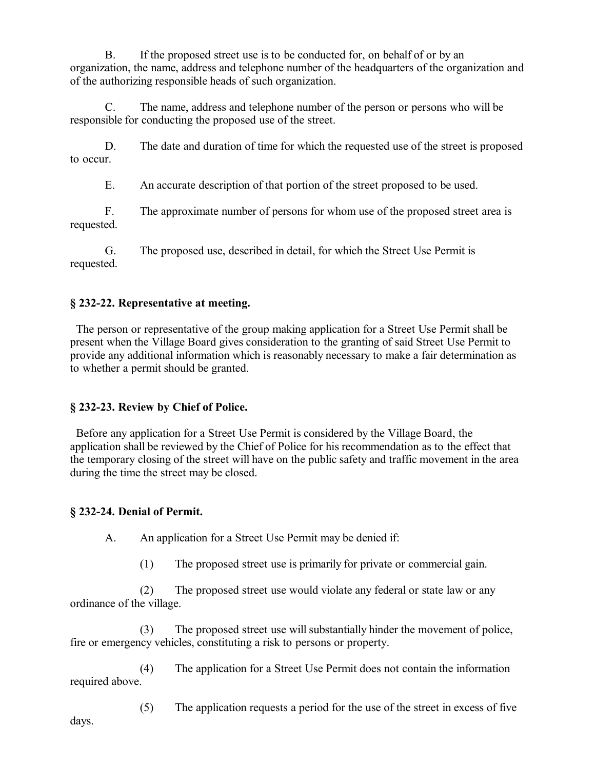B. If the proposed street use is to be conducted for, on behalf of or by an organization, the name, address and telephone number of the headquarters of the organization and of the authorizing responsible heads of such organization.

C. The name, address and telephone number of the person or persons who will be responsible for conducting the proposed use of the street.

D. The date and duration of time for which the requested use of the street is proposed to occur.

E. An accurate description of that portion of the street proposed to be used.

F. The approximate number of persons for whom use of the proposed street area is requested.

G. The proposed use, described in detail, for which the Street Use Permit is requested.

# **§ 232-22. Representative at meeting.**

 The person or representative of the group making application for a Street Use Permit shall be present when the Village Board gives consideration to the granting of said Street Use Permit to provide any additional information which is reasonably necessary to make a fair determination as to whether a permit should be granted.

# **§ 232-23. Review by Chief of Police.**

 Before any application for a Street Use Permit is considered by the Village Board, the application shall be reviewed by the Chief of Police for his recommendation as to the effect that the temporary closing of the street will have on the public safety and traffic movement in the area during the time the street may be closed.

# **§ 232-24. Denial of Permit.**

A. An application for a Street Use Permit may be denied if:

(1) The proposed street use is primarily for private or commercial gain.

(2) The proposed street use would violate any federal or state law or any ordinance of the village.

(3) The proposed street use will substantially hinder the movement of police, fire or emergency vehicles, constituting a risk to persons or property.

(4) The application for a Street Use Permit does not contain the information required above.

(5) The application requests a period for the use of the street in excess of five days.